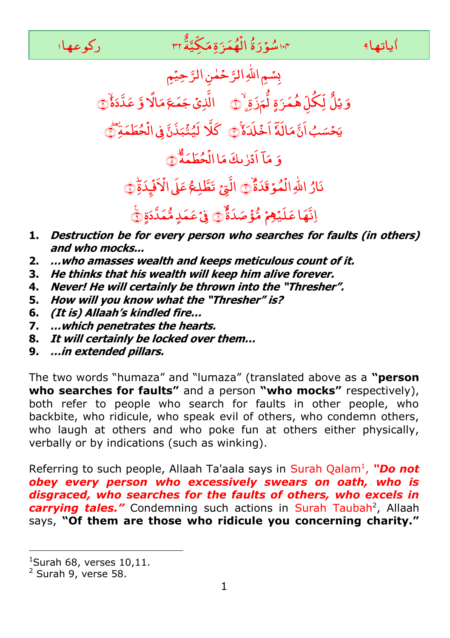

بِسُمِ اللهِ الرَّحْمٰنِ الرَّحِيْمِ ٌ وَ يَلُّ لِّكُلِّ هُمَرَةٍ لُّمَزَةٍ دِّنَ الَّذِیۡ جَمَعَ مَالًا وَّ عَدَّدَأَٰنَّ يَحۡسَبُ اَنَّ مَالَهٗٓ اَخۡلَدَهٗٓ۞ ۚ كَلَّا لَيُثۡبَذَنَّ فِى الۡحُطَمَةِۢ ْ بَذَنَّ فِی الْا لَیُثَبَذَنَّ فِی الۡحُطَمَةِ ۖ َ و .<br>ب مَآ اٰدۡرٰىكَ مَا الۡحُطَمَةَ ْ اَدَرْيكَ مَا الْحُطَمَةُ ﴾ ر<br>مُوۡ قَدَۃٌ ْ نَارُ اللّٰهِ الْمُوَقَدَةٌ ۚ الَّتِيۡ تَطَّلِعُ عَلَى الۡاَفۡبِدَةِۚ ؙؚ ة<br>ف ؙؚ تَطَّلِعُ عَلَى الْأَفْبِدَةِ ۞ اِنَّهَا عَلَيۡ**هِمۡ مُّؤۡصَدَۃٌ** ۖ ۚ وَ عَمَدٍ *مُّ*مَدَّوۡقَۖ

- **1. Destruction be for every person who searches for faults (in others) and who mocks...**
- **2. …who amasses wealth and keeps meticulous count of it.**
- **3. He thinks that his wealth will keep him alive forever.**
- **4. Never! He will certainly be thrown into the "Thresher".**
- **5. How will you know what the "Thresher" is?**
- **6. (It is) Allaah's kindled fire…**
- **7. …which penetrates the hearts.**
- **8. It will certainly be locked over them…**
- **9. …in extended pillars.**

The two words "humaza" and "lumaza" (translated above as a **"person who searches for faults"** and a person **"who mocks"** respectively), both refer to people who search for faults in other people, who backbite, who ridicule, who speak evil of others, who condemn others, who laugh at others and who poke fun at others either physically, verbally or by indications (such as winking).

Referring to such people, Allaah Ta'aala says in Surah Qalam<sup>1</sup>, "Do not *obey every person who excessively swears on oath, who is disgraced, who searches for the faults of others, who excels in*  carrying tales." Condemning such actions in Surah Taubah<sup>2</sup>, Allaah says, **"Of them are those who ridicule you concerning charity."** 

-

 $1$ Surah 68, verses 10,11.

<sup>2</sup> Surah 9, verse 58.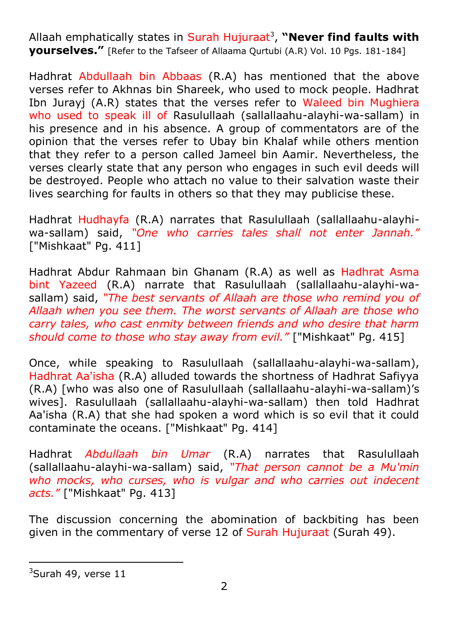Allaah emphatically states in Surah Hujuraat<sup>3</sup>, "**Never find faults with yourselves."** [Refer to the Tafseer of Allaama Qurtubi (A.R) Vol. 10 Pgs. 181-184]

Hadhrat Abdullaah bin Abbaas (R.A) has mentioned that the above verses refer to Akhnas bin Shareek, who used to mock people. Hadhrat Ibn Jurayj (A.R) states that the verses refer to Waleed bin Mughiera who used to speak ill of Rasulullaah (sallallaahu-alayhi-wa-sallam) in his presence and in his absence. A group of commentators are of the opinion that the verses refer to Ubay bin Khalaf while others mention that they refer to a person called Jameel bin Aamir. Nevertheless, the verses clearly state that any person who engages in such evil deeds will be destroyed. People who attach no value to their salvation waste their lives searching for faults in others so that they may publicise these.

Hadhrat Hudhayfa (R.A) narrates that Rasulullaah (sallallaahu-alayhiwa-sallam) said, *"One who carries tales shall not enter Jannah."* ["Mishkaat" Pg. 411]

Hadhrat Abdur Rahmaan bin Ghanam (R.A) as well as Hadhrat Asma bint Yazeed (R.A) narrate that Rasulullaah (sallallaahu-alayhi-wasallam) said, *"The best servants of Allaah are those who remind you of Allaah when you see them. The worst servants of Allaah are those who carry tales, who cast enmity between friends and who desire that harm should come to those who stay away from evil."* ["Mishkaat" Pg. 415]

Once, while speaking to Rasulullaah (sallallaahu-alayhi-wa-sallam), Hadhrat Aa'isha (R.A) alluded towards the shortness of Hadhrat Safiyya (R.A) [who was also one of Rasulullaah (sallallaahu-alayhi-wa-sallam)'s wives]. Rasulullaah (sallallaahu-alayhi-wa-sallam) then told Hadhrat Aa'isha (R.A) that she had spoken a word which is so evil that it could contaminate the oceans. ["Mishkaat" Pg. 414]

Hadhrat *Abdullaah bin Umar* (R.A) narrates that Rasulullaah (sallallaahu-alayhi-wa-sallam) said, *"That person cannot be a Mu'min who mocks, who curses, who is vulgar and who carries out indecent acts."* ["Mishkaat" Pg. 413]

The discussion concerning the abomination of backbiting has been given in the commentary of verse 12 of Surah Hujuraat (Surah 49).

1

 $3$ Surah 49, verse 11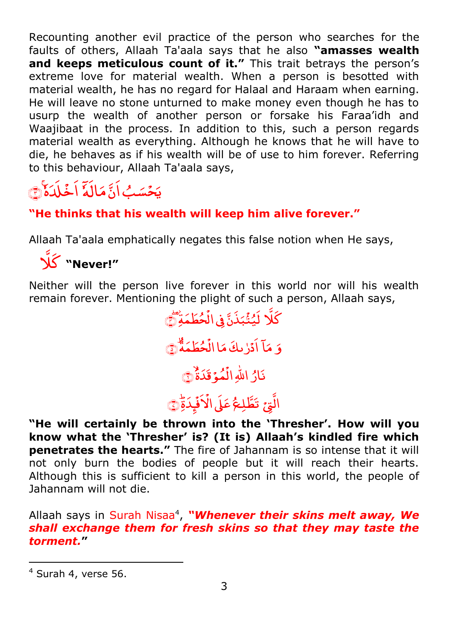Recounting another evil practice of the person who searches for the faults of others, Allaah Ta'aala says that he also **"amasses wealth**  and keeps meticulous count of it." This trait betrays the person's extreme love for material wealth. When a person is besotted with material wealth, he has no regard for Halaal and Haraam when earning. He will leave no stone unturned to make money even though he has to usurp the wealth of another person or forsake his Faraa'idh and Waajibaat in the process. In addition to this, such a person regards material wealth as everything. Although he knows that he will have to die, he behaves as if his wealth will be of use to him forever. Referring to this behaviour, Allaah Ta'aala says,

#### َاٗہ ا  $\overline{a}$ اُنَّ مَ .<br>مَسَبُ **ّ** یَ*حۡسَبُ اَنَّ مَالَهٗٓ اَخۡلَدَہٗ* ْ اَخْلَدَهُ ١

## **"He thinks that his wealth will keep him alive forever."**

Allaah Ta'aala emphatically negates this false notion when He says,

َّ َ **"Never!"** 

Neither will the person live forever in this world nor will his wealth remain forever. Mentioning the plight of such a person, Allaah says,

كَلَا لَيُثْبَذَنَّ فِى الْحُطَمَةِ .<br>• بَذَنَّ فِی الْا لَیُثَبَذَنَّ فِی الۡحُطۡمَةِ ۖ َ و .<br>ب مَا آدْرٰىكَ مَا الْحُطَمَةَ ْ اَدَرْيَكَ مَا الْحُطَمَةُ ﴾ ر<br>مُوۡ قَدَۃٌ ْ نَارُ اللَّهِ الْمُؤَقَدَةُ ۞ ْ

### الَّتِیۡ تَطَّلِحُ عَلَى الۡاَفۡبِدَۃِّ ْ :<br>فر تَطَّلِعُ عَلَى الآفَبِدَةِ ۞

**"He will certainly be thrown into the "Thresher". How will you know what the "Thresher" is? (It is) Allaah"s kindled fire which penetrates the hearts."** The fire of Jahannam is so intense that it will not only burn the bodies of people but it will reach their hearts. Although this is sufficient to kill a person in this world, the people of Jahannam will not die.

Allaah says in Surah Nisaa<sup>4</sup>, "Whenever their skins melt away, We *shall exchange them for fresh skins so that they may taste the torment.***"** 

1

 $4$  Surah 4, verse 56.